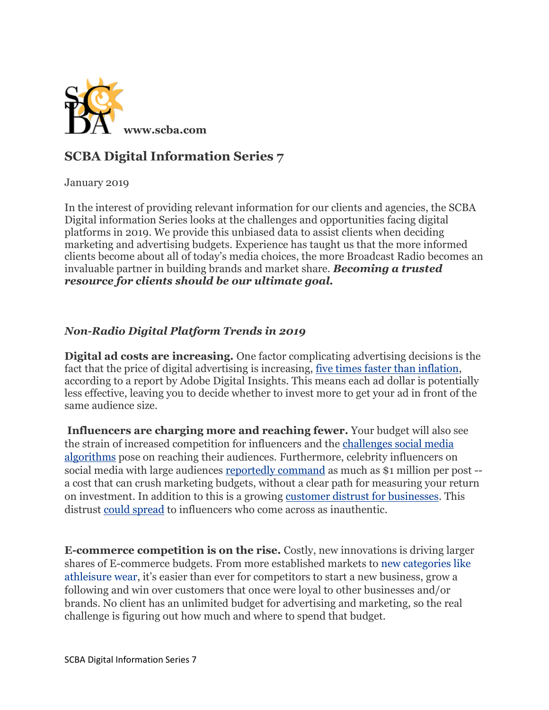

## **SCBA Digital Information Series 7**

January 2019

In the interest of providing relevant information for our clients and agencies, the SCBA Digital information Series looks at the challenges and opportunities facing digital platforms in 2019. We provide this unbiased data to assist clients when deciding marketing and advertising budgets. Experience has taught us that the more informed clients become about all of today's media choices, the more Broadcast Radio becomes an invaluable partner in building brands and market share. *Becoming a trusted resource for clients should be our ultimate goal.*

## *Non-Radio Digital Platform Trends in 2019*

**Digital ad costs are increasing.** One factor complicating advertising decisions is the fact that the price of digital advertising is increasing, <u>five times faster than inflation</u>, according to a report by Adobe Digital Insights. This means each ad dollar is potentially less effective, leaving you to decide whether to invest more to get your ad in front of the same audience size.

**Influencers are charging more and reaching fewer.** Your budget will also see the strain of increased competition for influencers and the [challenges social media](https://digiday.com/marketing/pay-play-confessions-influencer-facebooks-algorithm-changes/)  [algorithms](https://digiday.com/marketing/pay-play-confessions-influencer-facebooks-algorithm-changes/) pose on reaching their audiences. Furthermore, celebrity influencers on social media with large audiences [reportedly command](https://www.cnbc.com/2018/07/31/kylie-jenner-makes-1-million-per-paid-instagram-post-hopper-hq-says.html) as much as \$1 million per post - a cost that can crush marketing budgets, without a clear path for measuring your return on investment. In addition to this is a growing [customer distrust for businesses.](https://www.edelman.com/sites/g/files/aatuss191/files/2018-10/2018_Edelman_Trust_Barometer_Global_Report_FEB.pdf) This distrust [could spread](https://www.forbes.com/sites/jaysondemers/2018/06/14/how-influencer-marketing-needs-to-evolve-by-2020/#1b9aa8be6735) to influencers who come across as inauthentic.

**E-commerce competition is on the rise.** Costly, new innovations is driving larger shares of E-commerce budgets. From more established markets to [new categories like](https://www.forbes.com/sites/andriacheng/2018/02/09/here-are-some-more-signs-athleisure-trend-still-has-legs/#10657c0a33cb%20-)  [athleisure wear](https://www.forbes.com/sites/andriacheng/2018/02/09/here-are-some-more-signs-athleisure-trend-still-has-legs/#10657c0a33cb%20-), it's easier than ever for competitors to start a new business, grow a following and win over customers that once were loyal to other businesses and/or brands. No client has an unlimited budget for advertising and marketing, so the real challenge is figuring out how much and where to spend that budget.